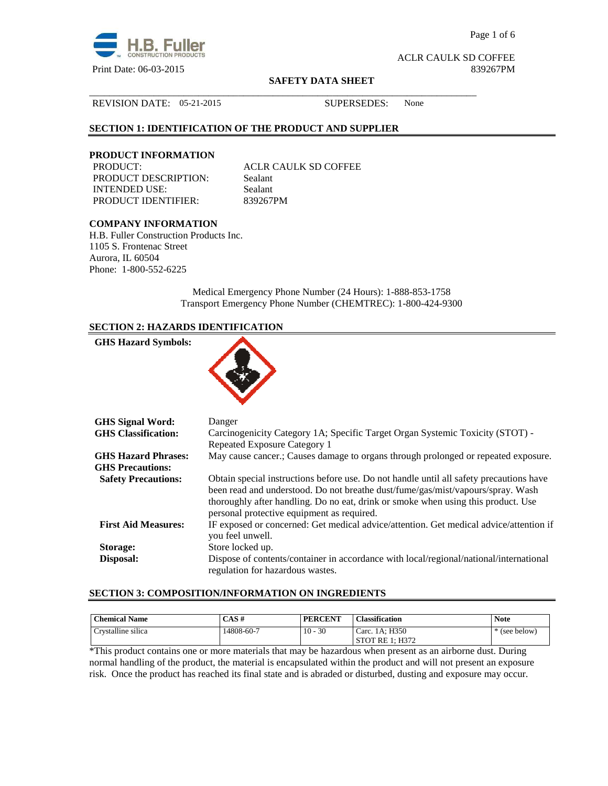

Page 1 of 6

ACLR CAULK SD COFFEE

#### **SAFETY DATA SHEET**

#### REVISION DATE: 05-21-2015 SUPERSEDES: None

#### **SECTION 1: IDENTIFICATION OF THE PRODUCT AND SUPPLIER**

# **PRODUCT INFORMATION**

PRODUCT DESCRIPTION: Sealant INTENDED USE: Sealant PRODUCT IDENTIFIER: 839267PM

ACLR CAULK SD COFFEE

\_\_\_\_\_\_\_\_\_\_\_\_\_\_\_\_\_\_\_\_\_\_\_\_\_\_\_\_\_\_\_\_\_\_\_\_\_\_\_\_\_\_\_\_\_\_\_\_\_\_\_\_\_\_\_\_\_\_\_\_\_\_\_\_\_\_\_\_\_\_\_\_\_\_\_\_\_\_

# **COMPANY INFORMATION**

H.B. Fuller Construction Products Inc. 1105 S. Frontenac Street Aurora, IL 60504 Phone: 1-800-552-6225

> Medical Emergency Phone Number (24 Hours): 1-888-853-1758 Transport Emergency Phone Number (CHEMTREC): 1-800-424-9300

# **SECTION 2: HAZARDS IDENTIFICATION**

| <b>GHS Hazard Symbols:</b>                            |                                                                                                                                                                                                                                                                                                               |
|-------------------------------------------------------|---------------------------------------------------------------------------------------------------------------------------------------------------------------------------------------------------------------------------------------------------------------------------------------------------------------|
| <b>GHS Signal Word:</b>                               | Danger                                                                                                                                                                                                                                                                                                        |
| <b>GHS</b> Classification:                            | Carcinogenicity Category 1A; Specific Target Organ Systemic Toxicity (STOT) -<br>Repeated Exposure Category 1                                                                                                                                                                                                 |
| <b>GHS Hazard Phrases:</b><br><b>GHS Precautions:</b> | May cause cancer.; Causes damage to organs through prolonged or repeated exposure.                                                                                                                                                                                                                            |
| <b>Safety Precautions:</b>                            | Obtain special instructions before use. Do not handle until all safety precautions have<br>been read and understood. Do not breathe dust/fume/gas/mist/vapours/spray. Wash<br>thoroughly after handling. Do no eat, drink or smoke when using this product. Use<br>personal protective equipment as required. |
| <b>First Aid Measures:</b>                            | IF exposed or concerned: Get medical advice/attention. Get medical advice/attention if<br>you feel unwell.                                                                                                                                                                                                    |
| Storage:                                              | Store locked up.                                                                                                                                                                                                                                                                                              |
| Disposal:                                             | Dispose of contents/container in accordance with local/regional/national/international<br>regulation for hazardous wastes.                                                                                                                                                                                    |

#### **SECTION 3: COMPOSITION/INFORMATION ON INGREDIENTS**

| <b>Chemical Name</b> | CAS#       | <b>PERCENT</b> | <b>Classification</b>     | <b>Note</b> |
|----------------------|------------|----------------|---------------------------|-------------|
| Crystalline silica   | 14808-60-7 | $10 -$<br>30   | Carc. 1A: H350            | (see below) |
|                      |            |                | 1: H372<br><b>STOT RE</b> |             |

\*This product contains one or more materials that may be hazardous when present as an airborne dust. During normal handling of the product, the material is encapsulated within the product and will not present an exposure risk. Once the product has reached its final state and is abraded or disturbed, dusting and exposure may occur.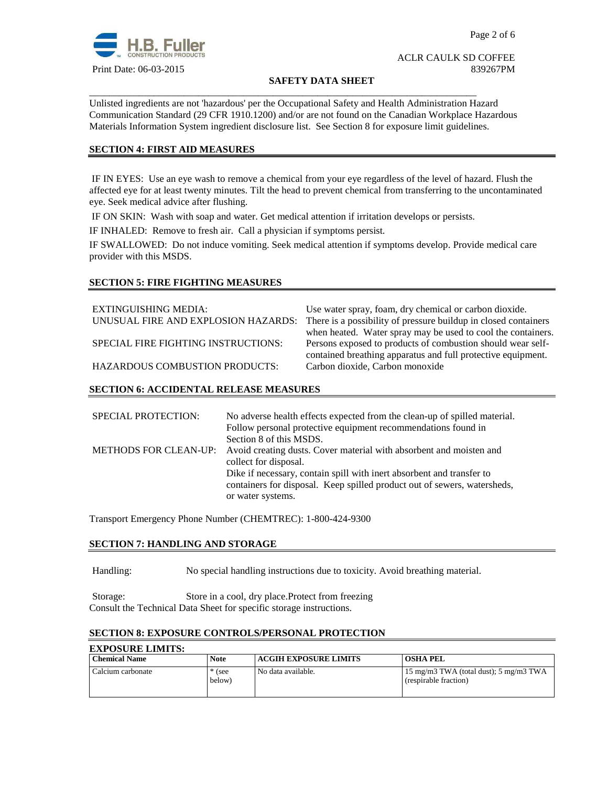

#### ACLR CAULK SD COFFEE Print Date: 06-03-2015 839267PM

#### **SAFETY DATA SHEET**

Unlisted ingredients are not 'hazardous' per the Occupational Safety and Health Administration Hazard Communication Standard (29 CFR 1910.1200) and/or are not found on the Canadian Workplace Hazardous Materials Information System ingredient disclosure list. See Section 8 for exposure limit guidelines.

\_\_\_\_\_\_\_\_\_\_\_\_\_\_\_\_\_\_\_\_\_\_\_\_\_\_\_\_\_\_\_\_\_\_\_\_\_\_\_\_\_\_\_\_\_\_\_\_\_\_\_\_\_\_\_\_\_\_\_\_\_\_\_\_\_\_\_\_\_\_\_\_\_\_\_\_\_\_

#### **SECTION 4: FIRST AID MEASURES**

 IF IN EYES: Use an eye wash to remove a chemical from your eye regardless of the level of hazard. Flush the affected eye for at least twenty minutes. Tilt the head to prevent chemical from transferring to the uncontaminated eye. Seek medical advice after flushing.

IF ON SKIN: Wash with soap and water. Get medical attention if irritation develops or persists.

IF INHALED: Remove to fresh air. Call a physician if symptoms persist.

IF SWALLOWED:Do not induce vomiting. Seek medical attention if symptoms develop. Provide medical care provider with this MSDS.

#### **SECTION 5: FIRE FIGHTING MEASURES**

| <b>EXTINGUISHING MEDIA:</b>           | Use water spray, foam, dry chemical or carbon dioxide.          |
|---------------------------------------|-----------------------------------------------------------------|
| UNUSUAL FIRE AND EXPLOSION HAZARDS:   | There is a possibility of pressure buildup in closed containers |
|                                       | when heated. Water spray may be used to cool the containers.    |
| SPECIAL FIRE FIGHTING INSTRUCTIONS:   | Persons exposed to products of combustion should wear self-     |
|                                       | contained breathing apparatus and full protective equipment.    |
| <b>HAZARDOUS COMBUSTION PRODUCTS:</b> | Carbon dioxide, Carbon monoxide                                 |

## **SECTION 6: ACCIDENTAL RELEASE MEASURES**

| <b>SPECIAL PROTECTION:</b>   | No adverse health effects expected from the clean-up of spilled material.<br>Follow personal protective equipment recommendations found in |
|------------------------------|--------------------------------------------------------------------------------------------------------------------------------------------|
|                              | Section 8 of this MSDS.                                                                                                                    |
| <b>METHODS FOR CLEAN-UP:</b> | Avoid creating dusts. Cover material with absorbent and moisten and                                                                        |
|                              | collect for disposal.                                                                                                                      |
|                              | Dike if necessary, contain spill with inert absorbent and transfer to                                                                      |
|                              | containers for disposal. Keep spilled product out of sewers, watersheds,                                                                   |
|                              | or water systems.                                                                                                                          |

Transport Emergency Phone Number (CHEMTREC): 1-800-424-9300

#### **SECTION 7: HANDLING AND STORAGE**

Handling: No special handling instructions due to toxicity. Avoid breathing material.

Storage: Store in a cool, dry place.Protect from freezing Consult the Technical Data Sheet for specific storage instructions.

#### **SECTION 8: EXPOSURE CONTROLS/PERSONAL PROTECTION**

| <b>EXPOSURE LIMITS:</b> |                    |                              |                                                                 |  |
|-------------------------|--------------------|------------------------------|-----------------------------------------------------------------|--|
| <b>Chemical Name</b>    | <b>Note</b>        | <b>ACGIH EXPOSURE LIMITS</b> | <b>OSHA PEL</b>                                                 |  |
| Calcium carbonate       | $*$ (see<br>below) | No data available.           | 15 mg/m3 TWA (total dust); 5 mg/m3 TWA<br>(respirable fraction) |  |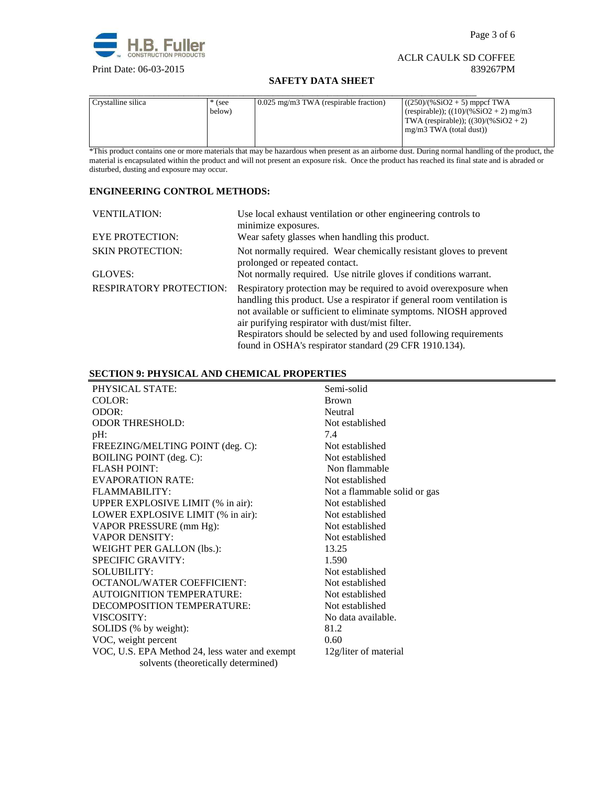

Page 3 of 6

#### ACLR CAULK SD COFFEE Print Date: 06-03-2015 839267PM

#### **SAFETY DATA SHEET**

| Crystalline silica | $*$ (see<br>below) | $0.025$ mg/m3 TWA (respirable fraction) | $(250)/(96SiO2 + 5)$ mppcf TWA<br>(respirable)); $((10)/(%SiO2 + 2)$ mg/m3<br>TWA (respirable)); $((30)/(%SiO2 + 2))$<br>mg/m3 TWA (total dust)) |
|--------------------|--------------------|-----------------------------------------|--------------------------------------------------------------------------------------------------------------------------------------------------|

\*This product contains one or more materials that may be hazardous when present as an airborne dust. During normal handling of the product, the material is encapsulated within the product and will not present an exposure risk. Once the product has reached its final state and is abraded or disturbed, dusting and exposure may occur.

# **ENGINEERING CONTROL METHODS:**

| <b>VENTILATION:</b>            | Use local exhaust ventilation or other engineering controls to<br>minimize exposures.                                                                                                                                                                                                                                                                                                               |
|--------------------------------|-----------------------------------------------------------------------------------------------------------------------------------------------------------------------------------------------------------------------------------------------------------------------------------------------------------------------------------------------------------------------------------------------------|
| <b>EYE PROTECTION:</b>         | Wear safety glasses when handling this product.                                                                                                                                                                                                                                                                                                                                                     |
| <b>SKIN PROTECTION:</b>        | Not normally required. Wear chemically resistant gloves to prevent<br>prolonged or repeated contact.                                                                                                                                                                                                                                                                                                |
| GLOVES:                        | Not normally required. Use nitrile gloves if conditions warrant.                                                                                                                                                                                                                                                                                                                                    |
| <b>RESPIRATORY PROTECTION:</b> | Respiratory protection may be required to avoid over exposure when<br>handling this product. Use a respirator if general room ventilation is<br>not available or sufficient to eliminate symptoms. NIOSH approved<br>air purifying respirator with dust/mist filter.<br>Respirators should be selected by and used following requirements<br>found in OSHA's respirator standard (29 CFR 1910.134). |

# **SECTION 9: PHYSICAL AND CHEMICAL PROPERTIES**

| botton ), the biomb must channomb those        |                              |
|------------------------------------------------|------------------------------|
| PHYSICAL STATE:                                | Semi-solid                   |
| COLOR:                                         | <b>Brown</b>                 |
| ODOR:                                          | Neutral                      |
| <b>ODOR THRESHOLD:</b>                         | Not established              |
| pH:                                            | 7.4                          |
| FREEZING/MELTING POINT (deg. C):               | Not established              |
| BOILING POINT (deg. C):                        | Not established              |
| <b>FLASH POINT:</b>                            | Non flammable                |
| <b>EVAPORATION RATE:</b>                       | Not established              |
| <b>FLAMMABILITY:</b>                           | Not a flammable solid or gas |
| UPPER EXPLOSIVE LIMIT (% in air):              | Not established              |
| LOWER EXPLOSIVE LIMIT (% in air):              | Not established              |
| VAPOR PRESSURE (mm Hg):                        | Not established              |
| <b>VAPOR DENSITY:</b>                          | Not established              |
| WEIGHT PER GALLON (lbs.):                      | 13.25                        |
| <b>SPECIFIC GRAVITY:</b>                       | 1.590                        |
| <b>SOLUBILITY:</b>                             | Not established              |
| <b>OCTANOL/WATER COEFFICIENT:</b>              | Not established              |
| <b>AUTOIGNITION TEMPERATURE:</b>               | Not established              |
| DECOMPOSITION TEMPERATURE:                     | Not established              |
| VISCOSITY:                                     | No data available.           |
| SOLIDS (% by weight):                          | 81.2                         |
| VOC, weight percent                            | 0.60                         |
| VOC, U.S. EPA Method 24, less water and exempt | 12g/liter of material        |
| solvents (theoretically determined)            |                              |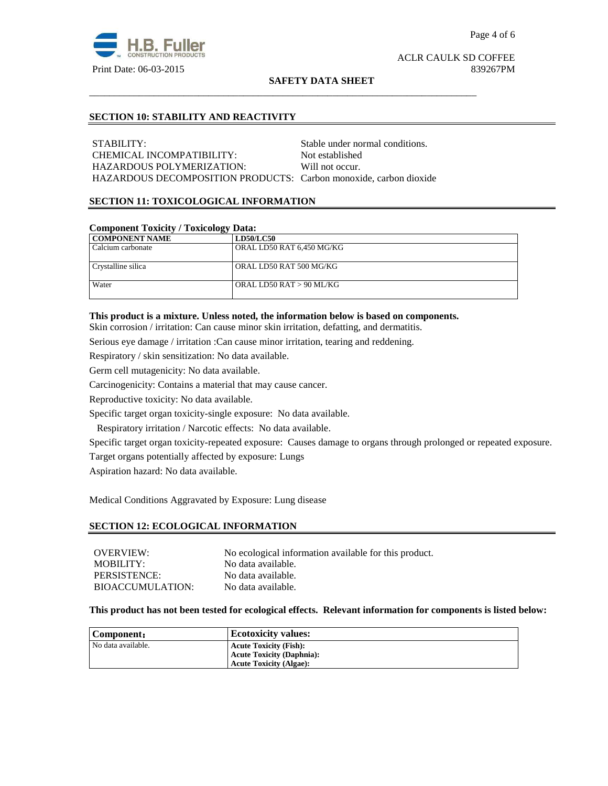

ACLR CAULK SD COFFEE

#### **SAFETY DATA SHEET**

#### **SECTION 10: STABILITY AND REACTIVITY**

STABILITY: Stable under normal conditions. CHEMICAL INCOMPATIBILITY: Not established HAZARDOUS POLYMERIZATION: Will not occur. HAZARDOUS DECOMPOSITION PRODUCTS: Carbon monoxide, carbon dioxide

\_\_\_\_\_\_\_\_\_\_\_\_\_\_\_\_\_\_\_\_\_\_\_\_\_\_\_\_\_\_\_\_\_\_\_\_\_\_\_\_\_\_\_\_\_\_\_\_\_\_\_\_\_\_\_\_\_\_\_\_\_\_\_\_\_\_\_\_\_\_\_\_\_\_\_\_\_\_

#### **SECTION 11: TOXICOLOGICAL INFORMATION**

#### **Component Toxicity / Toxicology Data:**

| ---- 80               |                           |  |
|-----------------------|---------------------------|--|
| <b>COMPONENT NAME</b> | <b>LD50/LC50</b>          |  |
| Calcium carbonate     | ORAL LD50 RAT 6.450 MG/KG |  |
|                       |                           |  |
| Crystalline silica    | ORAL LD50 RAT 500 MG/KG   |  |
|                       |                           |  |
| Water                 | ORAL LD50 RAT > 90 ML/KG  |  |
|                       |                           |  |

#### **This product is a mixture. Unless noted, the information below is based on components.**

Skin corrosion / irritation: Can cause minor skin irritation, defatting, and dermatitis.

Serious eye damage / irritation :Can cause minor irritation, tearing and reddening.

Respiratory / skin sensitization: No data available.

Germ cell mutagenicity: No data available.

Carcinogenicity: Contains a material that may cause cancer.

Reproductive toxicity: No data available.

Specific target organ toxicity-single exposure:No data available.

Respiratory irritation / Narcotic effects: No data available.

Specific target organ toxicity-repeated exposure:Causes damage to organs through prolonged or repeated exposure.

Target organs potentially affected by exposure: Lungs

Aspiration hazard: No data available.

Medical Conditions Aggravated by Exposure: Lung disease

#### **SECTION 12: ECOLOGICAL INFORMATION**

| OVERVIEW:        | No ecological information available for this product. |
|------------------|-------------------------------------------------------|
| MOBILITY:        | No data available.                                    |
| PERSISTENCE:     | No data available.                                    |
| BIOACCUMULATION: | No data available.                                    |

#### **This product has not been tested for ecological effects. Relevant information for components is listed below:**

| Component:         | <b>Ecotoxicity values:</b>       |
|--------------------|----------------------------------|
| No data available. | <b>Acute Toxicity (Fish):</b>    |
|                    | <b>Acute Toxicity (Daphnia):</b> |
|                    | <b>Acute Toxicity (Algae):</b>   |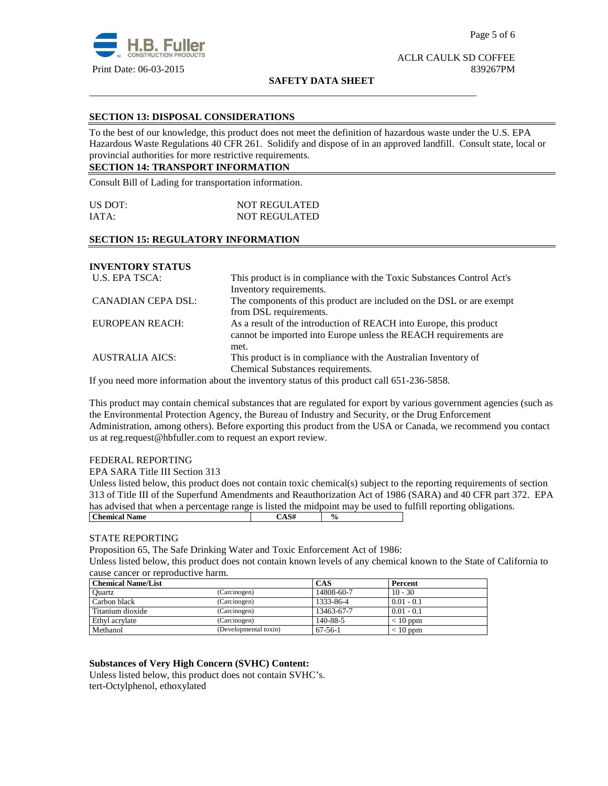

#### **SAFETY DATA SHEET**

\_\_\_\_\_\_\_\_\_\_\_\_\_\_\_\_\_\_\_\_\_\_\_\_\_\_\_\_\_\_\_\_\_\_\_\_\_\_\_\_\_\_\_\_\_\_\_\_\_\_\_\_\_\_\_\_\_\_\_\_\_\_\_\_\_\_\_\_\_\_\_\_\_\_\_\_\_\_

#### **SECTION 13: DISPOSAL CONSIDERATIONS**

To the best of our knowledge, this product does not meet the definition of hazardous waste under the U.S. EPA Hazardous Waste Regulations 40 CFR 261. Solidify and dispose of in an approved landfill. Consult state, local or provincial authorities for more restrictive requirements.

## **SECTION 14: TRANSPORT INFORMATION**

Consult Bill of Lading for transportation information.

| US DOT: | <b>NOT REGULATED</b> |
|---------|----------------------|
| IATA:   | <b>NOT REGULATED</b> |

#### **SECTION 15: REGULATORY INFORMATION**

# **INVENTORY STATUS**

| U.S. EPA TSCA:            | This product is in compliance with the Toxic Substances Control Act's |  |  |
|---------------------------|-----------------------------------------------------------------------|--|--|
|                           | Inventory requirements.                                               |  |  |
| <b>CANADIAN CEPA DSL:</b> | The components of this product are included on the DSL or are exempt  |  |  |
|                           | from DSL requirements.                                                |  |  |
| EUROPEAN REACH:           | As a result of the introduction of REACH into Europe, this product    |  |  |
|                           | cannot be imported into Europe unless the REACH requirements are      |  |  |
|                           | met.                                                                  |  |  |
| <b>AUSTRALIA AICS:</b>    | This product is in compliance with the Australian Inventory of        |  |  |
|                           | Chemical Substances requirements.                                     |  |  |

If you need more information about the inventory status of this product call 651-236-5858.

This product may contain chemical substances that are regulated for export by various government agencies (such as the Environmental Protection Agency, the Bureau of Industry and Security, or the Drug Enforcement Administration, among others). Before exporting this product from the USA or Canada, we recommend you contact us at reg.request@hbfuller.com to request an export review.

#### FEDERAL REPORTING

EPA SARA Title III Section 313

Unless listed below, this product does not contain toxic chemical(s) subject to the reporting requirements of section 313 of Title III of the Superfund Amendments and Reauthorization Act of 1986 (SARA) and 40 CFR part 372. EPA has advised that when a percentage range is listed the midpoint may be used to fulfill reporting obligations. **Chemical Name**  $\qquad \qquad$   $\qquad \qquad$   $\qquad \qquad$   $\qquad \qquad$   $\qquad \qquad$   $\qquad \qquad$   $\qquad \qquad$   $\qquad \qquad$   $\qquad \qquad$   $\qquad \qquad$   $\qquad \qquad$   $\qquad \qquad$   $\qquad \qquad$   $\qquad \qquad$   $\qquad \qquad$   $\qquad \qquad$   $\qquad \qquad$   $\qquad \qquad$   $\qquad \qquad$   $\qquad \qquad$   $\qquad \qquad$   $\qquad \qquad$   $\qquad \qquad$ 

#### STATE REPORTING

Proposition 65, The Safe Drinking Water and Toxic Enforcement Act of 1986:

Unless listed below, this product does not contain known levels of any chemical known to the State of California to cause cancer or reproductive harm.

| <b>Chemical Name/List</b> |                       | <b>CAS</b> | Percent      |
|---------------------------|-----------------------|------------|--------------|
| Ouartz                    | (Carcinogen)          | 14808-60-7 | $10 - 30$    |
| Carbon black              | (Carcinogen)          | 1333-86-4  | $0.01 - 0.1$ |
| Titanium dioxide          | (Carcinogen)          | 13463-67-7 | $0.01 - 0.1$ |
| Ethyl acrylate            | (Carcinogen)          | 140-88-5   | $< 10$ ppm   |
| Methanol                  | (Developmental toxin) | $67-56-1$  | $< 10$ ppm   |

#### **Substances of Very High Concern (SVHC) Content:**

Unless listed below, this product does not contain SVHC's. tert-Octylphenol, ethoxylated